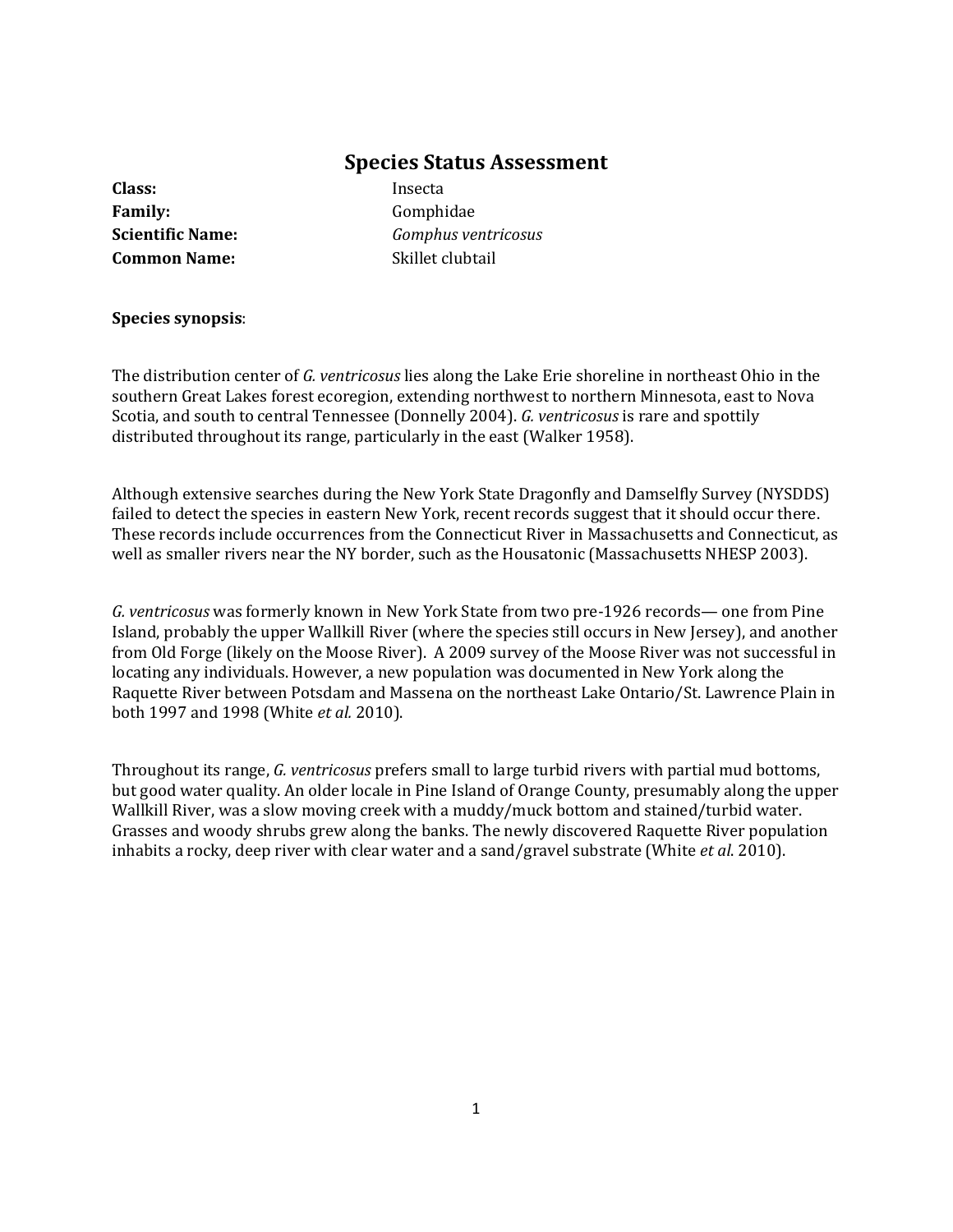## **Species Status Assessment**

**Class:** Insecta Family: Gomphidae **Common Name:** Skillet clubtail

**Scientific Name:** *Gomphus ventricosus*

#### **Species synopsis**:

The distribution center of *G. ventricosus* lies along the Lake Erie shoreline in northeast Ohio in the southern Great Lakes forest ecoregion, extending northwest to northern Minnesota, east to Nova Scotia, and south to central Tennessee (Donnelly 2004). *G. ventricosus* is rare and spottily distributed throughout its range, particularly in the east (Walker 1958).

Although extensive searches during the New York State Dragonfly and Damselfly Survey (NYSDDS) failed to detect the species in eastern New York, recent records suggest that it should occur there. These records include occurrences from the Connecticut River in Massachusetts and Connecticut, as well as smaller rivers near the NY border, such as the Housatonic (Massachusetts NHESP 2003).

*G. ventricosus* was formerly known in New York State from two pre-1926 records— one from Pine Island, probably the upper Wallkill River (where the species still occurs in New Jersey), and another from Old Forge (likely on the Moose River). A 2009 survey of the Moose River was not successful in locating any individuals. However, a new population was documented in New York along the Raquette River between Potsdam and Massena on the northeast Lake Ontario/St. Lawrence Plain in both 1997 and 1998 (White *et al.* 2010).

Throughout its range, *G. ventricosus* prefers small to large turbid rivers with partial mud bottoms, but good water quality. An older locale in Pine Island of Orange County, presumably along the upper Wallkill River, was a slow moving creek with a muddy/muck bottom and stained/turbid water. Grasses and woody shrubs grew along the banks. The newly discovered Raquette River population inhabits a rocky, deep river with clear water and a sand/gravel substrate (White *et al*. 2010).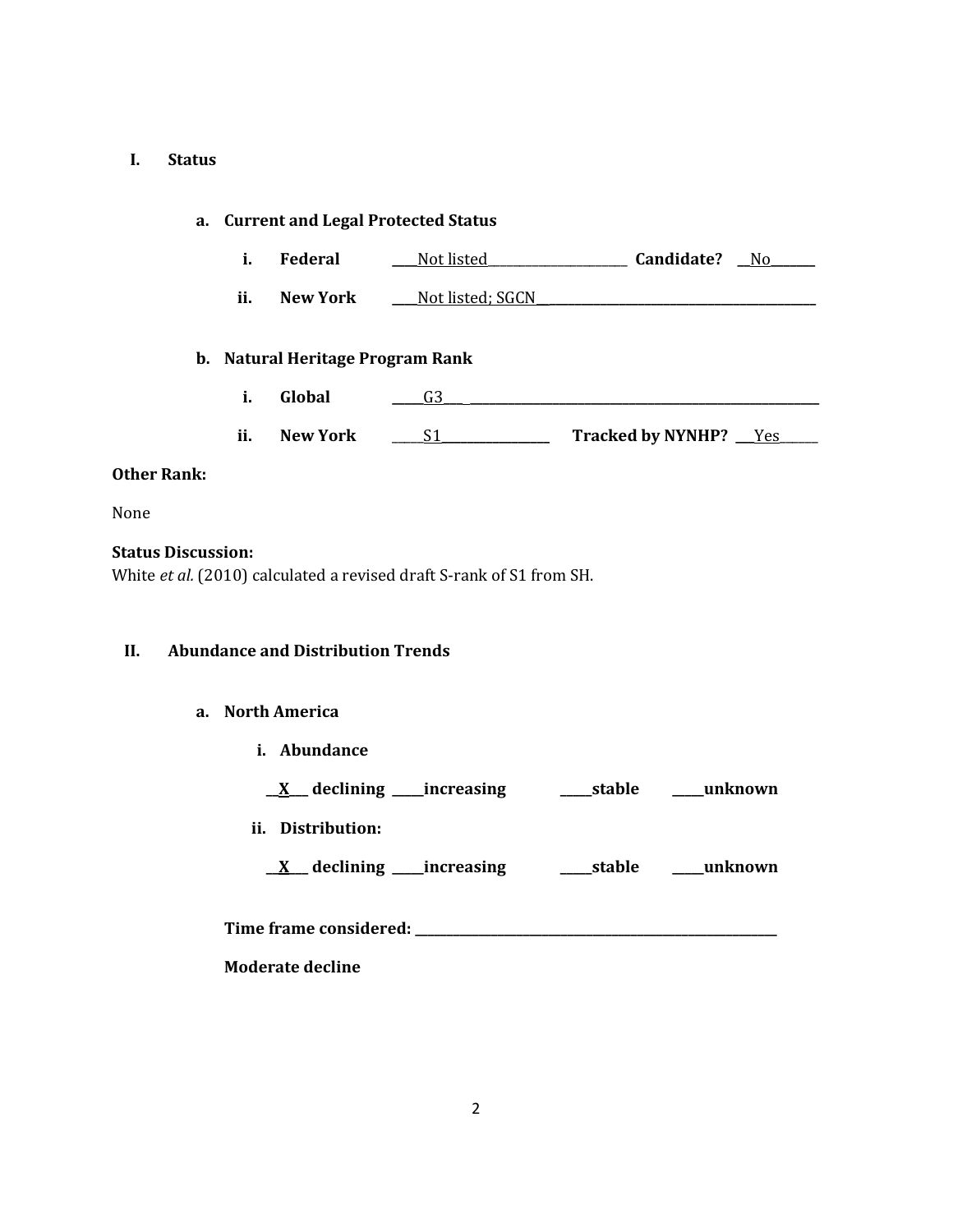# **I. Status**

| a. Current and Legal Protected Status |  |     |                                          |                                                                      |  |
|---------------------------------------|--|-----|------------------------------------------|----------------------------------------------------------------------|--|
|                                       |  | i.  | Federal                                  | Not listed Candidate? No                                             |  |
|                                       |  | ii. |                                          |                                                                      |  |
|                                       |  |     | b. Natural Heritage Program Rank         |                                                                      |  |
|                                       |  | i.  | Global                                   | G3                                                                   |  |
|                                       |  | ii. | <b>New York</b>                          |                                                                      |  |
| <b>Other Rank:</b>                    |  |     |                                          |                                                                      |  |
| None                                  |  |     |                                          |                                                                      |  |
| <b>Status Discussion:</b>             |  |     |                                          | White et al. (2010) calculated a revised draft S-rank of S1 from SH. |  |
| II.                                   |  |     | <b>Abundance and Distribution Trends</b> |                                                                      |  |
|                                       |  |     | a. North America                         |                                                                      |  |
|                                       |  |     | i. Abundance                             |                                                                      |  |
|                                       |  |     |                                          |                                                                      |  |
|                                       |  |     | ii. Distribution:                        |                                                                      |  |
|                                       |  |     |                                          |                                                                      |  |
|                                       |  |     |                                          |                                                                      |  |
|                                       |  |     | <b>Moderate decline</b>                  |                                                                      |  |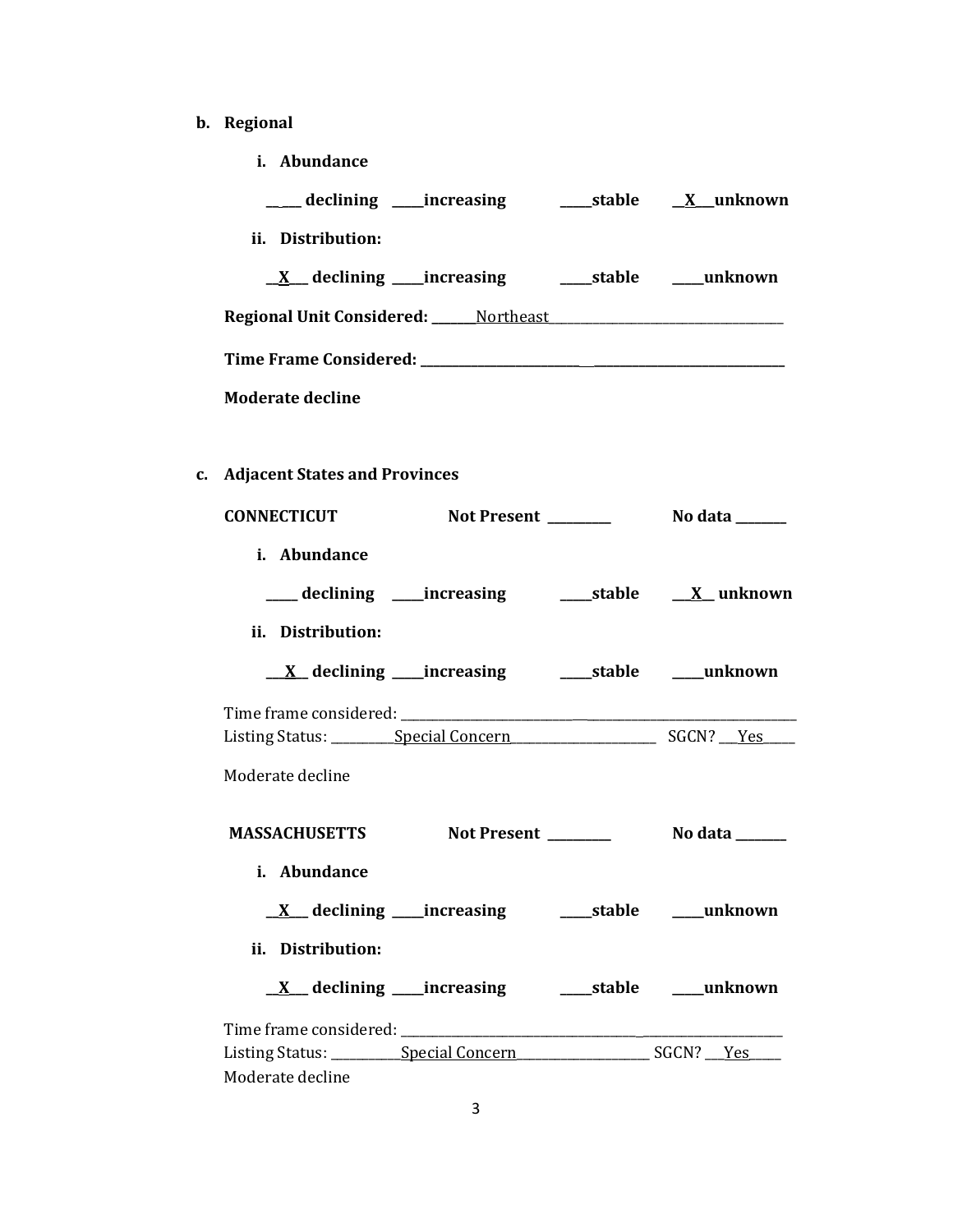- **b. Regional** 
	- **i. Abundance**

| ii. Distribution:                                 |  |
|---------------------------------------------------|--|
|                                                   |  |
| <b>Regional Unit Considered:</b> ______ Northeast |  |
|                                                   |  |
| <b>Moderate decline</b>                           |  |

**c. Adjacent States and Provinces**

| <b>CONNECTICUT</b>        |                                                             |                       |
|---------------------------|-------------------------------------------------------------|-----------------------|
| i. Abundance              |                                                             |                       |
|                           | ___ declining ____increasing _______stable _____X__ unknown |                       |
| ii. Distribution:         |                                                             |                       |
|                           |                                                             |                       |
|                           |                                                             |                       |
|                           |                                                             |                       |
| Moderate decline          |                                                             |                       |
| MASSACHUSETTS Not Present |                                                             | <b>No data</b> ______ |
| i. Abundance              |                                                             |                       |
|                           |                                                             |                       |
| ii. Distribution:         |                                                             |                       |
|                           |                                                             |                       |
|                           |                                                             |                       |
|                           |                                                             |                       |
| Moderate decline          |                                                             |                       |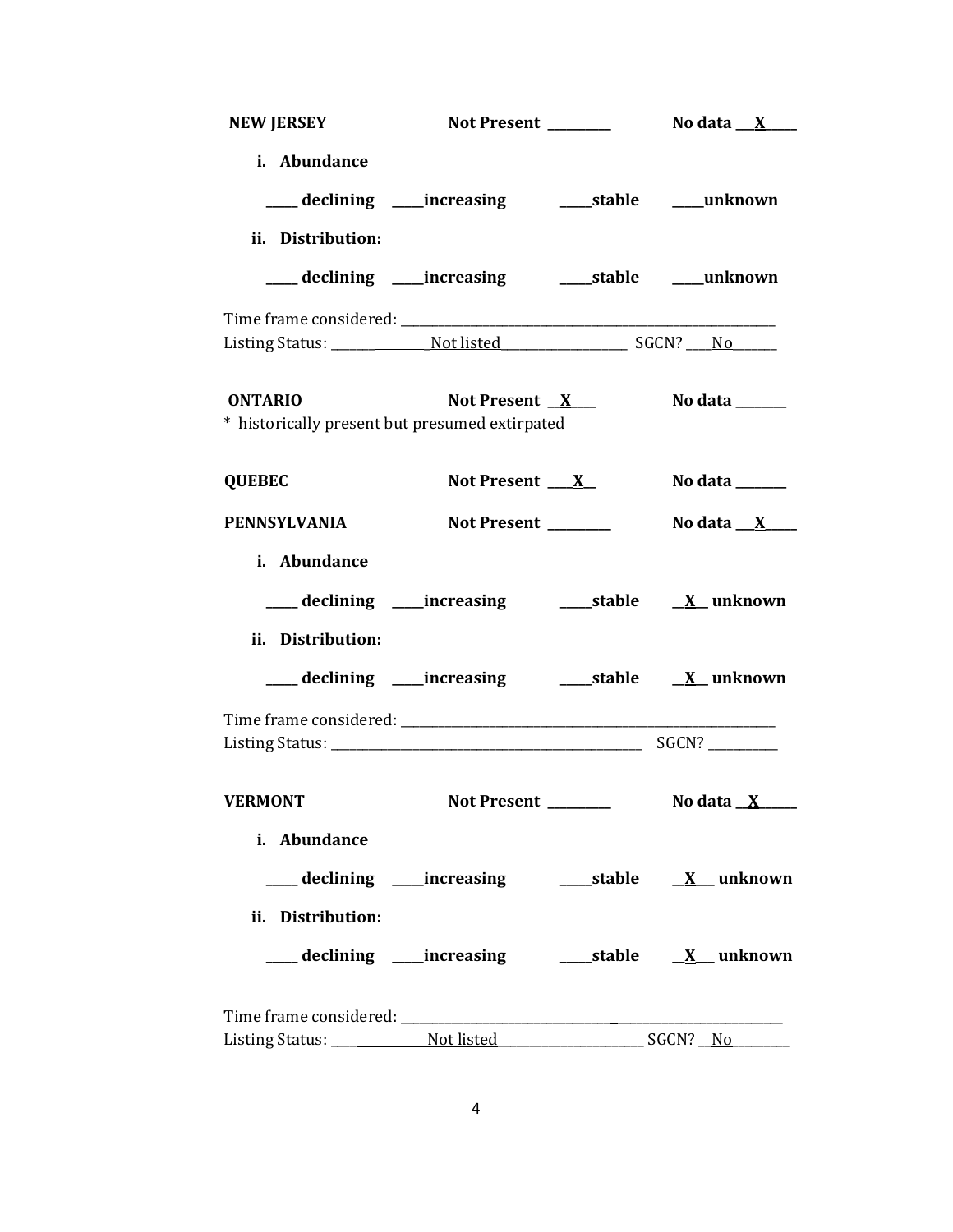| <b>NEW JERSEY</b>   |                                                                        |                      |                        |
|---------------------|------------------------------------------------------------------------|----------------------|------------------------|
| i. Abundance        |                                                                        |                      |                        |
|                     | ___ declining ___ increasing ____ stable ___ unknown                   |                      |                        |
| ii. Distribution:   |                                                                        |                      |                        |
|                     | ___ declining ____increasing ______stable ____unknown                  |                      |                        |
|                     |                                                                        |                      |                        |
|                     |                                                                        |                      |                        |
| <b>ONTARIO</b>      | Not Present <u>X</u><br>* historically present but presumed extirpated |                      | No data ______         |
| <b>QUEBEC</b>       | Not Present $X$                                                        |                      | No data ______         |
| <b>PENNSYLVANIA</b> | Not Present _______                                                    |                      | No data <u>__X__</u> _ |
| i. Abundance        |                                                                        |                      |                        |
|                     | ___ declining ____increasing ______stable ___ X__unknown               |                      |                        |
| ii. Distribution:   |                                                                        |                      |                        |
|                     | ___ declining ____increasing ______stable ___ X__unknown               |                      |                        |
|                     |                                                                        |                      |                        |
| <b>VERMONT</b>      | <b>Not Present</b>                                                     | <u>and the state</u> | No data $X$            |
| i. Abundance        |                                                                        |                      |                        |
|                     |                                                                        |                      |                        |
| ii. Distribution:   |                                                                        |                      |                        |
|                     | ___ declining ____ increasing ______ stable __ <u>X</u> __ unknown     |                      |                        |
|                     |                                                                        |                      |                        |
|                     |                                                                        |                      |                        |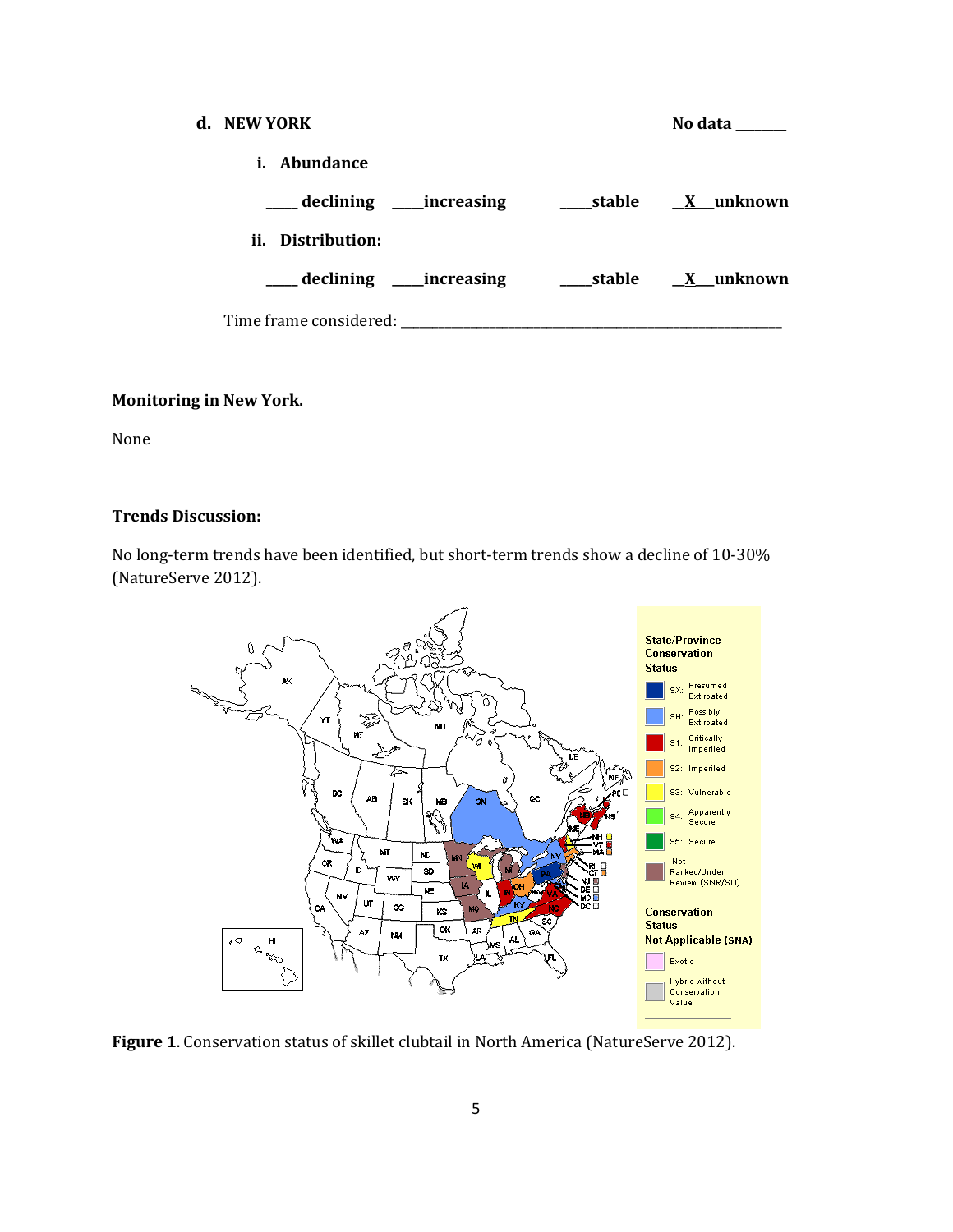| d. NEW YORK                                   | No data          |
|-----------------------------------------------|------------------|
| <i>i.</i> Abundance                           |                  |
|                                               |                  |
| ii. Distribution:                             |                  |
| ____ declining ____ increasing                | stable X unknown |
| Time frame considered: Time frame considered: |                  |

#### **Monitoring in New York.**

None

## **Trends Discussion:**

No long-term trends have been identified, but short-term trends show a decline of 10-30% (NatureServe 2012).



**Figure 1**. Conservation status of skillet clubtail in North America (NatureServe 2012).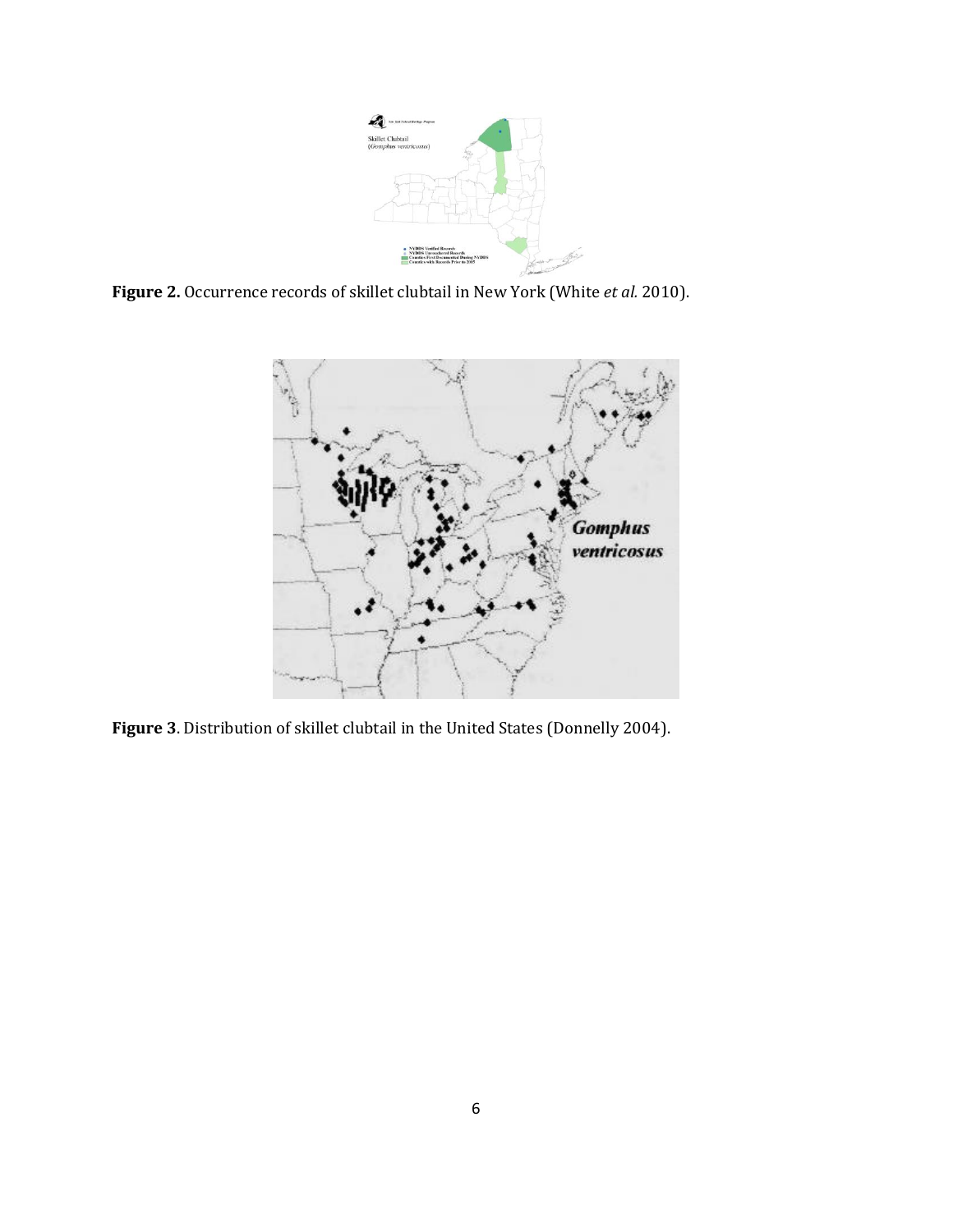

**Figure 2.** Occurrence records of skillet clubtail in New York (White *et al.* 2010).



**Figure 3**. Distribution of skillet clubtail in the United States (Donnelly 2004).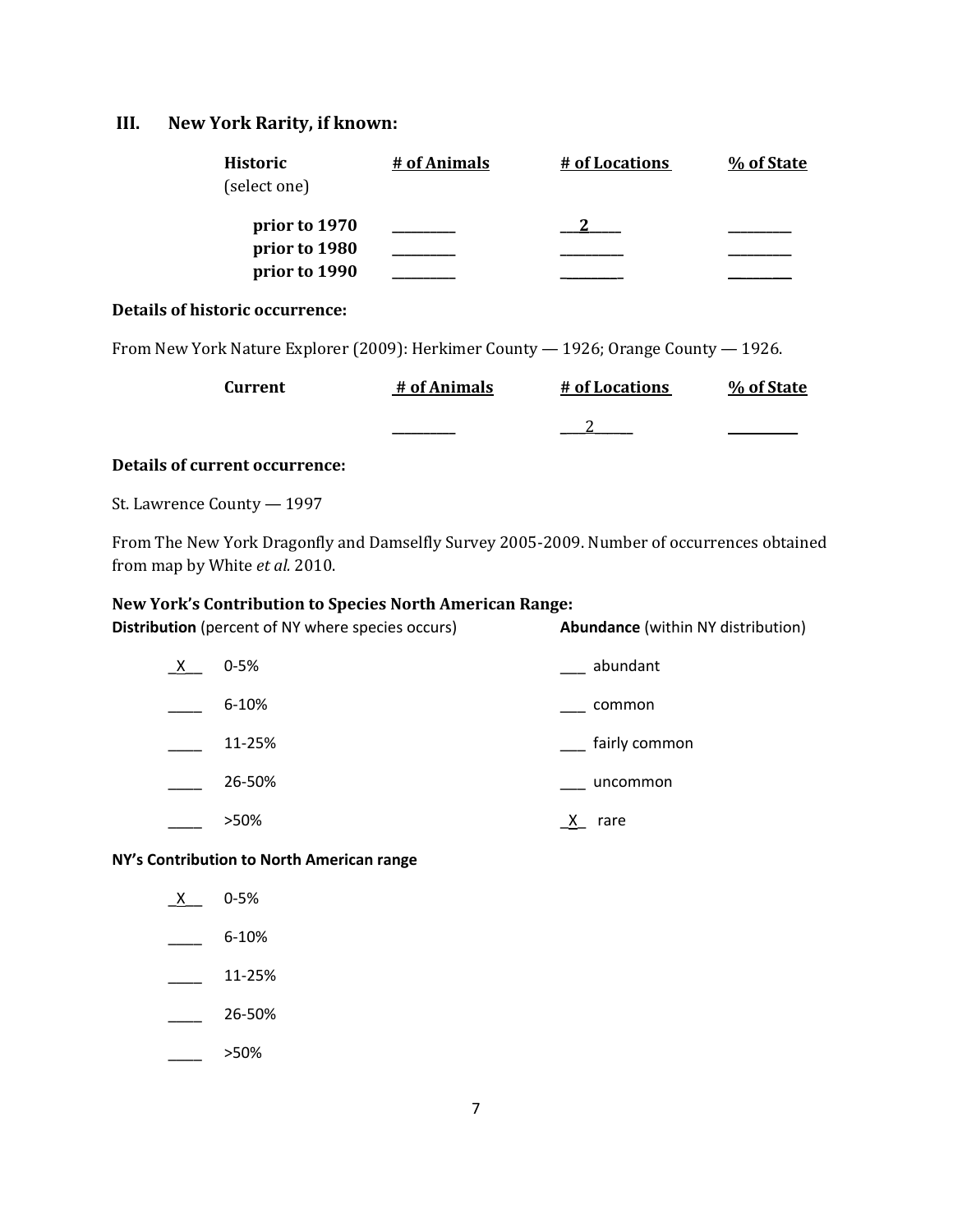## **III. New York Rarity, if known:**

| Historic<br>(select one) | # of Animals | # of Locations | % of State |  |
|--------------------------|--------------|----------------|------------|--|
| prior to 1970            |              |                |            |  |
| prior to 1980            |              |                |            |  |
| prior to 1990            |              |                |            |  |

## **Details of historic occurrence:**

From New York Nature Explorer (2009): Herkimer County — 1926; Orange County — 1926.

| Current | # of Animals | # of Locations | % of State |
|---------|--------------|----------------|------------|
|         |              |                |            |

### **Details of current occurrence:**

St. Lawrence County — 1997

From The New York Dragonfly and Damselfly Survey 2005-2009. Number of occurrences obtained from map by White *et al.* 2010.

### **New York's Contribution to Species North American Range:**

**Distribution** (percent of NY where species occurs) **Abundance** (within NY distribution)

| $0 - 5%$  | abundant      |
|-----------|---------------|
| $6 - 10%$ | common        |
| 11-25%    | fairly common |
| 26-50%    | uncommon      |
| >50%      | rare          |

**NY's Contribution to North American range**

| $\mathsf{X}$ | 0-5% |
|--------------|------|
|              |      |

- $\frac{6-10\%}{2}$
- $\frac{11-25\%}{2}$
- $\frac{26-50\%}{26}$
- $>50\%$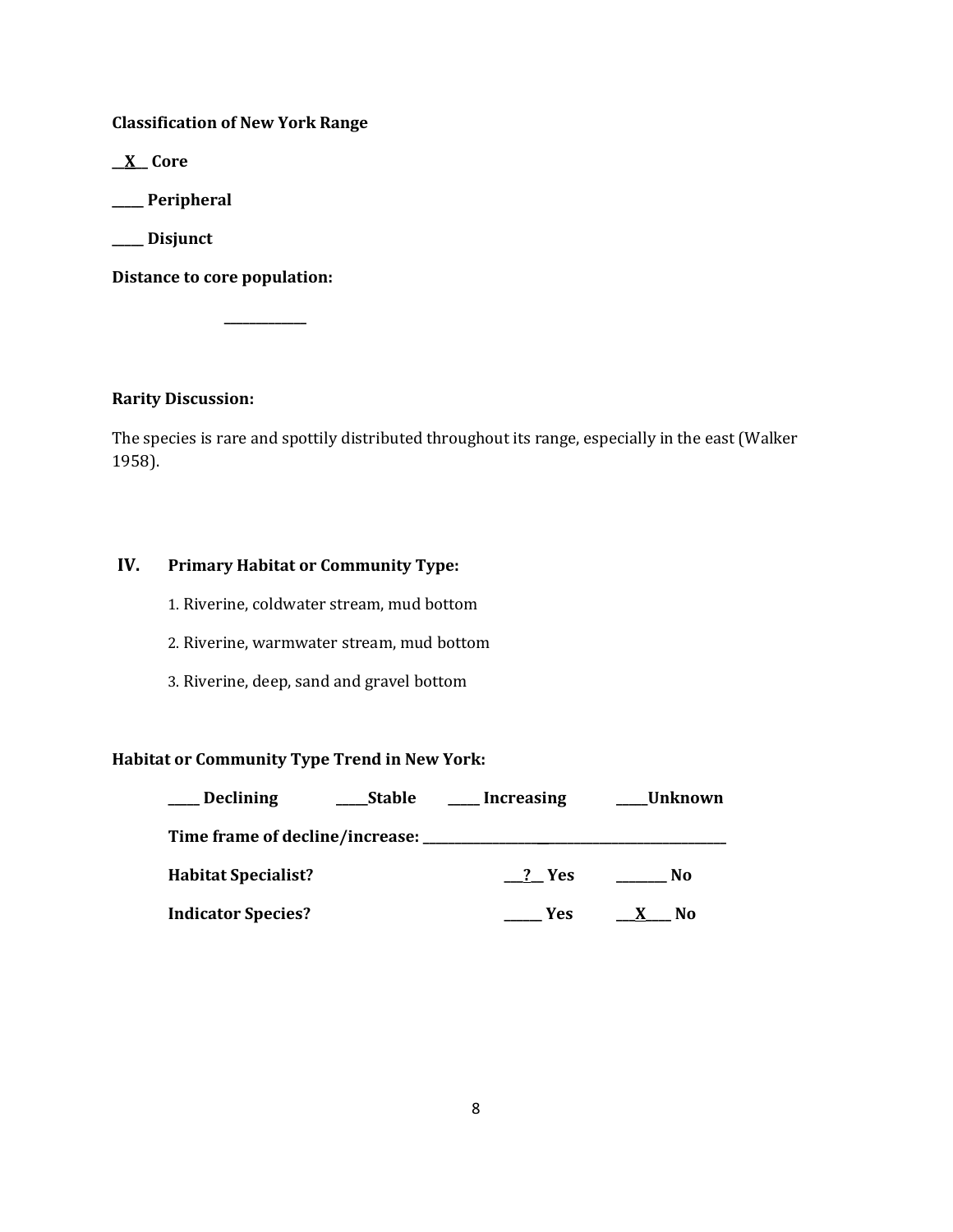**Classification of New York Range**

**\_\_X\_\_ Core**

**\_\_\_\_\_ Peripheral**

**\_\_\_\_\_ Disjunct**

**Distance to core population:**

**\_\_\_\_\_\_\_\_\_\_\_\_\_**

**Rarity Discussion:**

The species is rare and spottily distributed throughout its range, especially in the east (Walker 1958).

## **IV. Primary Habitat or Community Type:**

1. Riverine, coldwater stream, mud bottom

2. Riverine, warmwater stream, mud bottom

3. Riverine, deep, sand and gravel bottom

## **Habitat or Community Type Trend in New York:**

| <b>Declining</b>                    | Stable | Increasing | Unknown |
|-------------------------------------|--------|------------|---------|
| Time frame of decline/increase: ___ |        |            |         |
| <b>Habitat Specialist?</b>          |        | ? Yes      | No      |
| <b>Indicator Species?</b>           |        | Yes        | No      |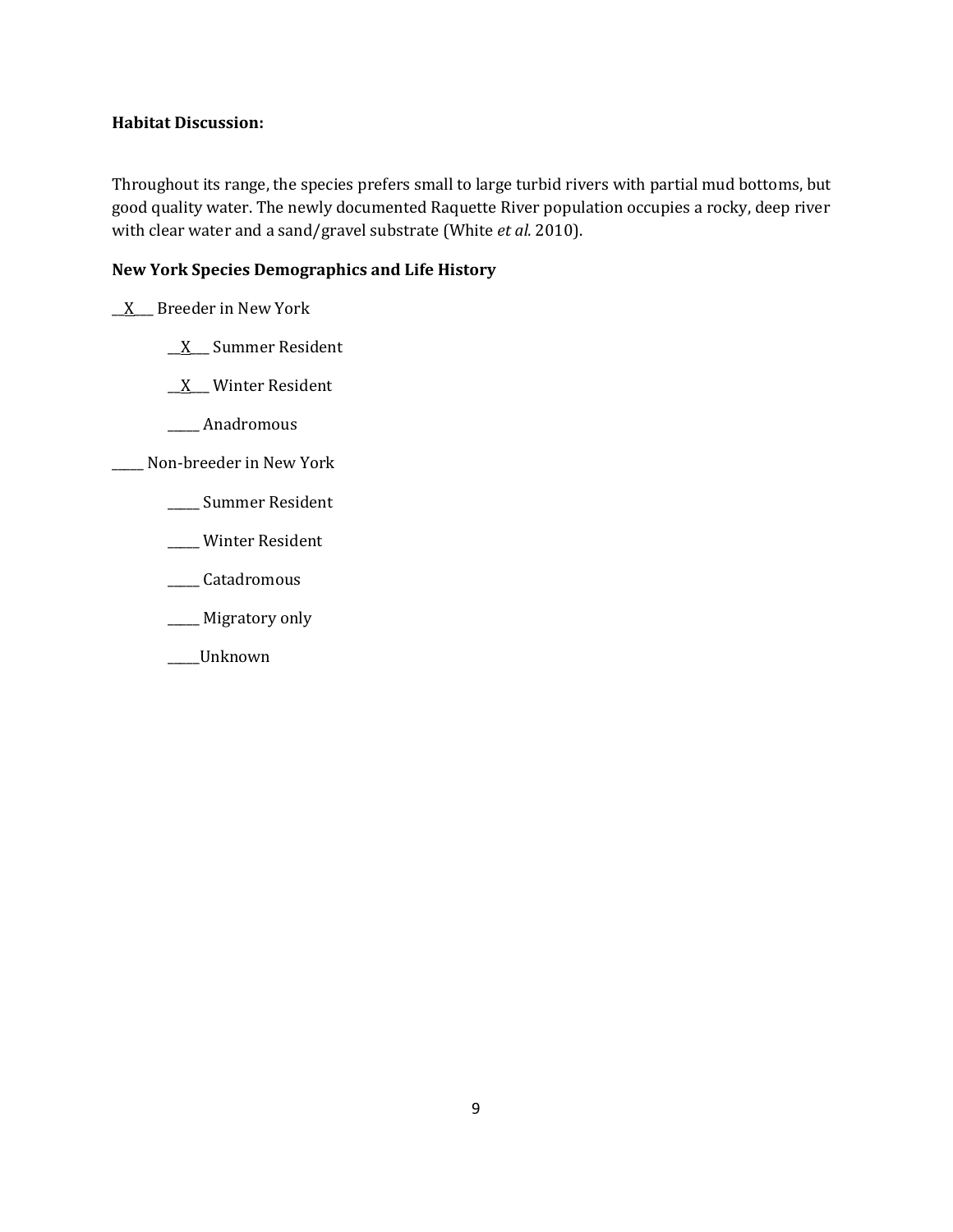## **Habitat Discussion:**

Throughout its range, the species prefers small to large turbid rivers with partial mud bottoms, but good quality water. The newly documented Raquette River population occupies a rocky, deep river with clear water and a sand/gravel substrate (White *et al.* 2010).

## **New York Species Demographics and Life History**

 $X$  Breeder in New York

\_\_X\_\_\_ Summer Resident

\_\_X\_\_\_ Winter Resident

\_\_\_\_\_ Anadromous

\_\_\_\_\_ Non-breeder in New York

- \_\_\_\_\_ Summer Resident
- \_\_\_\_\_ Winter Resident
- \_\_\_\_\_ Catadromous
- \_\_\_\_\_ Migratory only
- \_\_\_\_\_Unknown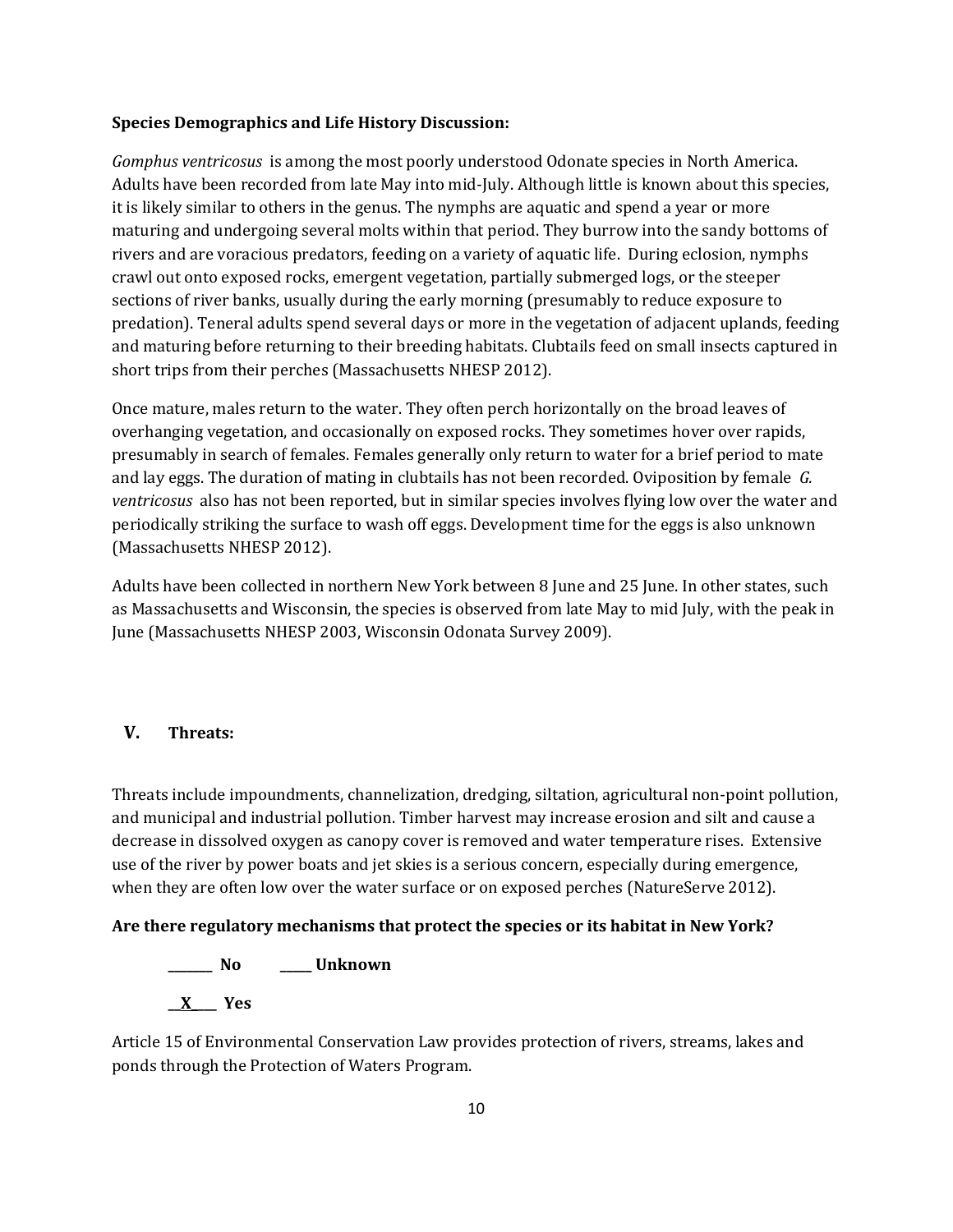#### **Species Demographics and Life History Discussion:**

*Gomphus ventricosus* is among the most poorly understood Odonate species in North America. Adults have been recorded from late May into mid-July. Although little is known about this species, it is likely similar to others in the genus. The nymphs are aquatic and spend a year or more maturing and undergoing several molts within that period. They burrow into the sandy bottoms of rivers and are voracious predators, feeding on a variety of aquatic life. During eclosion, nymphs crawl out onto exposed rocks, emergent vegetation, partially submerged logs, or the steeper sections of river banks, usually during the early morning (presumably to reduce exposure to predation). Teneral adults spend several days or more in the vegetation of adjacent uplands, feeding and maturing before returning to their breeding habitats. Clubtails feed on small insects captured in short trips from their perches (Massachusetts NHESP 2012).

Once mature, males return to the water. They often perch horizontally on the broad leaves of overhanging vegetation, and occasionally on exposed rocks. They sometimes hover over rapids, presumably in search of females. Females generally only return to water for a brief period to mate and lay eggs. The duration of mating in clubtails has not been recorded. Oviposition by female *G. ventricosus* also has not been reported, but in similar species involves flying low over the water and periodically striking the surface to wash off eggs. Development time for the eggs is also unknown (Massachusetts NHESP 2012).

Adults have been collected in northern New York between 8 June and 25 June. In other states, such as Massachusetts and Wisconsin, the species is observed from late May to mid July, with the peak in June (Massachusetts NHESP 2003, Wisconsin Odonata Survey 2009).

## **V. Threats:**

Threats include impoundments, channelization, dredging, siltation, agricultural non-point pollution, and municipal and industrial pollution. Timber harvest may increase erosion and silt and cause a decrease in dissolved oxygen as canopy cover is removed and water temperature rises. Extensive use of the river by power boats and jet skies is a serious concern, especially during emergence, when they are often low over the water surface or on exposed perches (NatureServe 2012).

#### **Are there regulatory mechanisms that protect the species or its habitat in New York?**

**\_\_\_\_\_\_\_ No \_\_\_\_\_ Unknown**

**\_\_X\_\_\_\_ Yes**

Article 15 of Environmental Conservation Law provides protection of rivers, streams, lakes and ponds through the Protection of Waters Program.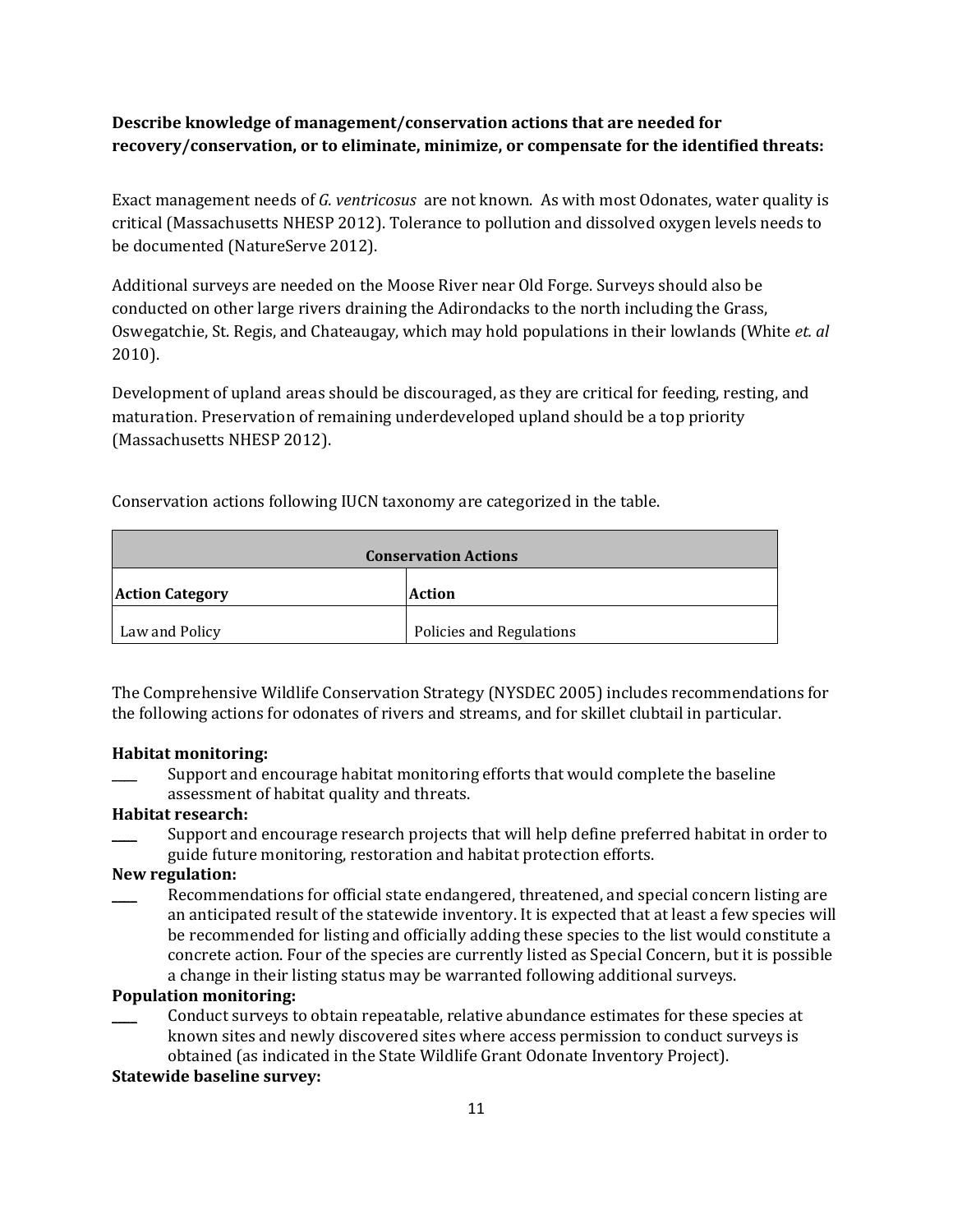## **Describe knowledge of management/conservation actions that are needed for recovery/conservation, or to eliminate, minimize, or compensate for the identified threats:**

Exact management needs of *G. ventricosus* are not known. As with most Odonates, water quality is critical (Massachusetts NHESP 2012). Tolerance to pollution and dissolved oxygen levels needs to be documented (NatureServe 2012).

Additional surveys are needed on the Moose River near Old Forge. Surveys should also be conducted on other large rivers draining the Adirondacks to the north including the Grass, Oswegatchie, St. Regis, and Chateaugay, which may hold populations in their lowlands (White *et. al* 2010).

Development of upland areas should be discouraged, as they are critical for feeding, resting, and maturation. Preservation of remaining underdeveloped upland should be a top priority (Massachusetts NHESP 2012).

Conservation actions following IUCN taxonomy are categorized in the table.

| <b>Conservation Actions</b> |                          |  |
|-----------------------------|--------------------------|--|
| <b>Action Category</b>      | <b>Action</b>            |  |
| Law and Policy              | Policies and Regulations |  |

The Comprehensive Wildlife Conservation Strategy (NYSDEC 2005) includes recommendations for the following actions for odonates of rivers and streams, and for skillet clubtail in particular.

## **Habitat monitoring:**

Support and encourage habitat monitoring efforts that would complete the baseline assessment of habitat quality and threats.

## **Habitat research:**

\_\_\_\_ Support and encourage research projects that will help define preferred habitat in order to guide future monitoring, restoration and habitat protection efforts.

## **New regulation:**

Recommendations for official state endangered, threatened, and special concern listing are an anticipated result of the statewide inventory. It is expected that at least a few species will be recommended for listing and officially adding these species to the list would constitute a concrete action. Four of the species are currently listed as Special Concern, but it is possible a change in their listing status may be warranted following additional surveys.

## **Population monitoring:**

\_\_\_\_ Conduct surveys to obtain repeatable, relative abundance estimates for these species at known sites and newly discovered sites where access permission to conduct surveys is obtained (as indicated in the State Wildlife Grant Odonate Inventory Project).

## **Statewide baseline survey:**